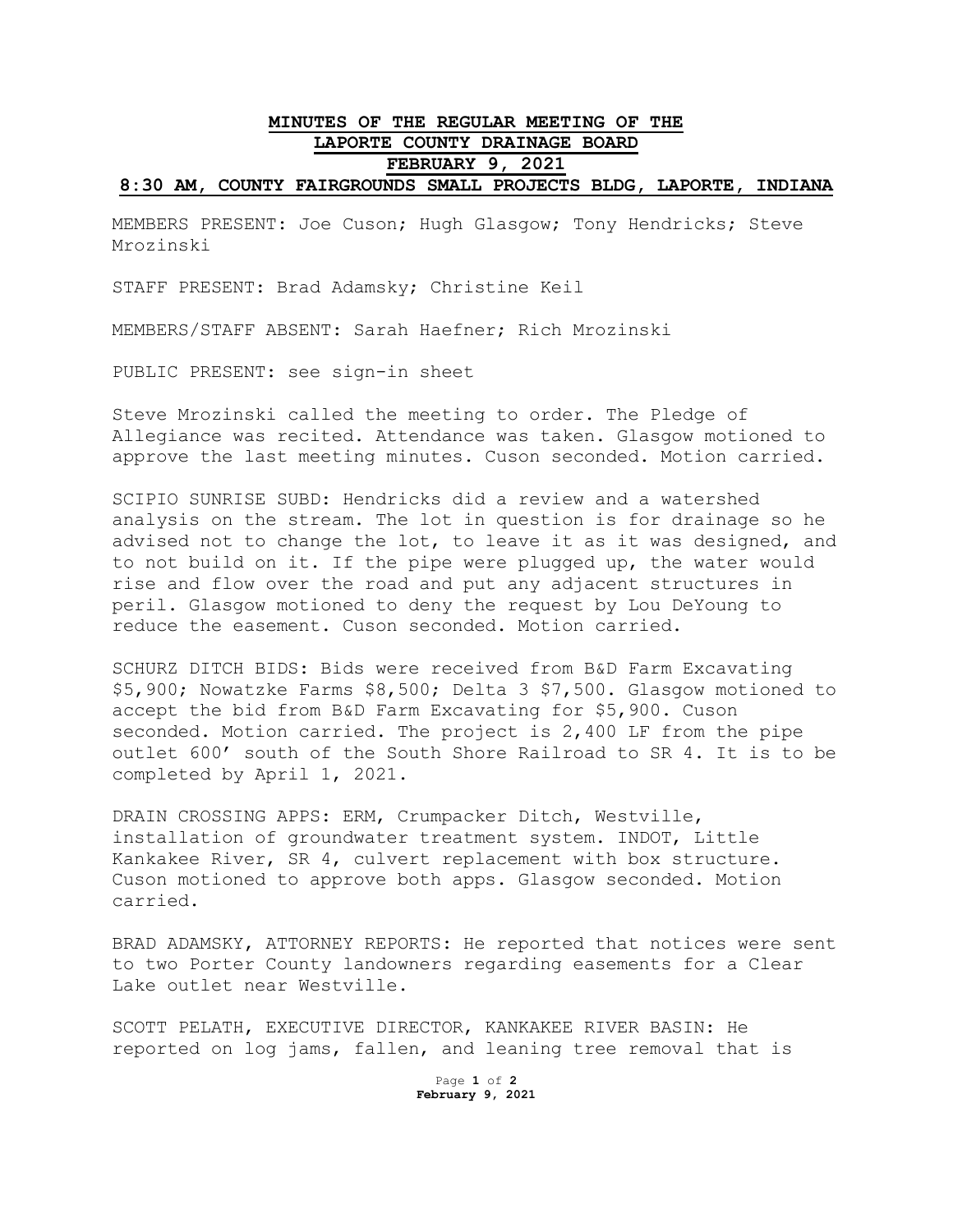## **MINUTES OF THE REGULAR MEETING OF THE LAPORTE COUNTY DRAINAGE BOARD FEBRUARY 9, 2021 8:30 AM, COUNTY FAIRGROUNDS SMALL PROJECTS BLDG, LAPORTE, INDIANA**

MEMBERS PRESENT: Joe Cuson; Hugh Glasgow; Tony Hendricks; Steve Mrozinski

STAFF PRESENT: Brad Adamsky; Christine Keil

MEMBERS/STAFF ABSENT: Sarah Haefner; Rich Mrozinski

PUBLIC PRESENT: see sign-in sheet

Steve Mrozinski called the meeting to order. The Pledge of Allegiance was recited. Attendance was taken. Glasgow motioned to approve the last meeting minutes. Cuson seconded. Motion carried.

SCIPIO SUNRISE SUBD: Hendricks did a review and a watershed analysis on the stream. The lot in question is for drainage so he advised not to change the lot, to leave it as it was designed, and to not build on it. If the pipe were plugged up, the water would rise and flow over the road and put any adjacent structures in peril. Glasgow motioned to deny the request by Lou DeYoung to reduce the easement. Cuson seconded. Motion carried.

SCHURZ DITCH BIDS: Bids were received from B&D Farm Excavating \$5,900; Nowatzke Farms \$8,500; Delta 3 \$7,500. Glasgow motioned to accept the bid from B&D Farm Excavating for \$5,900. Cuson seconded. Motion carried. The project is 2,400 LF from the pipe outlet 600' south of the South Shore Railroad to SR 4. It is to be completed by April 1, 2021.

DRAIN CROSSING APPS: ERM, Crumpacker Ditch, Westville, installation of groundwater treatment system. INDOT, Little Kankakee River, SR 4, culvert replacement with box structure. Cuson motioned to approve both apps. Glasgow seconded. Motion carried.

BRAD ADAMSKY, ATTORNEY REPORTS: He reported that notices were sent to two Porter County landowners regarding easements for a Clear Lake outlet near Westville.

SCOTT PELATH, EXECUTIVE DIRECTOR, KANKAKEE RIVER BASIN: He reported on log jams, fallen, and leaning tree removal that is

> Page **1** of **2 February 9, 2021**